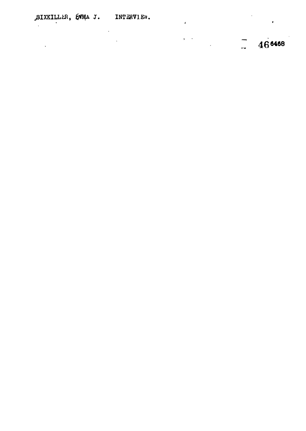$\ddot{\phantom{a}}$ 

 $\mathcal{L}^{\text{max}}_{\text{max}}$ 

 $\label{eq:2} \begin{split} \mathcal{L}_{\text{max}}(\mathcal{L}_{\text{max}}) = \mathcal{L}_{\text{max}}(\mathcal{L}_{\text{max}}) \end{split}$ 

 $\epsilon$ 

 $\frac{1}{2}$  46<sup>6468</sup>

 $\bullet$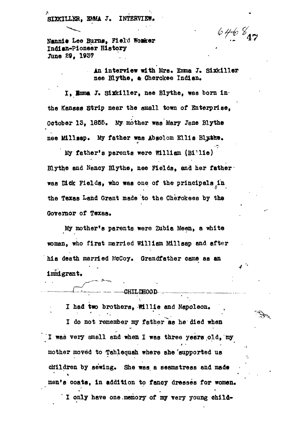$6468$ 

**Nannie Lee Burns, Field Woiker Indian-Pioneer History** June 29, 1937

> **An interview with Mrs. Emma J. Sixkiller** nee Blythe, a Cherokee Indian.

I, **Emma J. Sixkiller, nee Blythe, was born inthe Kansas Strip near the small town of Enterprise, October IS, 1855. My mother was Mary Jane Blythe nee Mi11sap. My father was Abgolom Ellis Blithe.**

**My father's parents were William (B^lie ) Blythe and Nancy Blythe, nee Fields, and her father was Dick Fields, who was one of the principals** *in* **the Texas Land Grant made to the Chefokees by the Governor of Texas.** 

**My mother\*s parents were Zubia Meen, a white iso man, who first married William Mill sap and after** his death married McCoy. Grandfather came as an **immigrant.** 

-**-CHILDHOOD** 

I had two brothers, Willie and Napoleon. I do not remember my father as he died when I was very small and when I was three years old, my **mother moved to Tahlequah where she 'supported us** children by sewing. She was a seamstress and made men's coats, in addition to fancy dresses for women. **v I only have one,memory of my very young child-**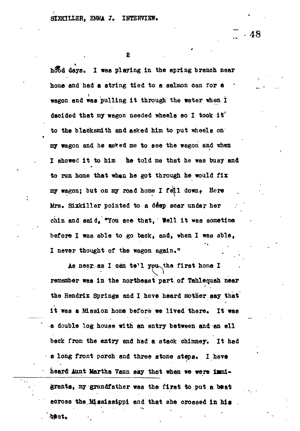$\ddot{\phantom{1}}$ 

 $.48$ 

4/

hood days. I was playing in the spring branch near home and had a string tied to a salmon can for a wagon and was pulling it through the water when I decided that my wagon needed wheels so I took it to the blacksmith and asked him to put wheels on my wegon and he esfcefl me to see the wagon and *xtoon.* I showed it to him he told me that he was busy and to run home that **whan** he got through he would fix my wagon; but on my road home I fell down, Here Mrs. Sixkiller pointed to a ddep soar under her chin and said, "You see that, Well it was sometime before I was able to go back, and, when I was able, I never thought of the wagon again."

As neer as I can te'l yeu the first home I remember was In the northeast part, of Tahlequah near the Hendrlx Springs and I have heard mother say that it was a Mission home before we lived there. It was a double log house with an entry between and an ell back from the entry and had a stack chimney. It had a long front porch and three stone steps. I have heard Aunt Martha Vann say that when we were immigrants, my grandfather was the first to put a beat across the Mississippi and that she crossed In **his**

JBat.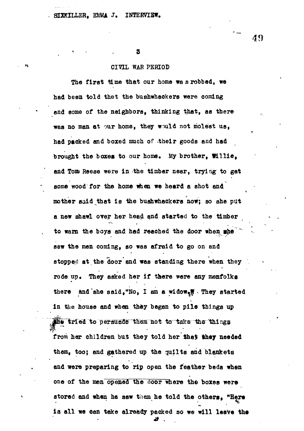#### **SHRILLER,** *mm* **J. INTERVIEW.**

**• • • s**

# CIVIL WAR PERIOD

The first time that our home was robbed, we **The first time that our home was robbed, ire** had been told that the bushwhackers were coming **had been told that the bushwhackers were coming** and some of the neighbors, thinking that, as there **was no man at our home, they would not molest us,** had packed and boxed much of their goods and had **had packed and boxed much of .their goods and had** brought the boxes to our home. My brother, Willie. **brought the boxes to our home, My brother, Willie,** and Tom Reese were in the timber near, trying to get **and Tom\* Reese were in -the timber near, trying to get** some wood for the home when we heard a shot and **some wood for the home when we heard a shot and** mother said that is the bushwhackers now; so she put a new shawl over her head and started to the timber to warn the boys and had reached the door when the saw the men coming, so was afraid to go on and stopped at the door and was standing there when they rode up. They asked her if there were any menfolks there and she said, "No, I am a widow<sub>e</sub>". They started in the house and when they began to pile things up ine tried to persuade them not to take the things from her children but they told her that they needed them, too; and gathered up the quilts and blankets and were preparing to rip open the feather beda when one of the men opened the door where the boxes were atored and when he saw them he told the others, "Here is all we can take already packed so we will leave the

49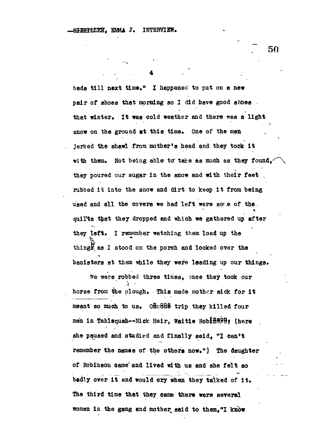**. • - 4**

**beds til l next time." I happened to put on a new pair of shoes that morning so I did have good shoes that winter. It was cold weather and there was a light snow on the ground at this time. One of the men jerked the shawl from mother's head and they took i t with them. Not being able- to" take as much as they found, they poured our sugar in the snow and with their feet ,** rubbed it into the snow and dirt to keep it from being **used and all the covera we had left were sor e of the. quilts that they dropped end which we gathered up after they left. I remember watching them load up the things, as I stood on the porch and looked over the** banisters at them while they were leading up our things.

**We were robbed three times, once they took our horse from tjhe plough. This made mother sick for i t meant so much to us. O&eSnS trip they killed four men in Tahlequah—Nick Hair, Waitie RobiBSBSf (here she paused and studied and finally said, "I can't remember the names of the others now.") The daughter of Robinson came' and lived with us and she felt so** badly over it and would ory when they talked of it. **The third time that they came there were several women in the gang and mother, said to them,"I know**

*7* **50**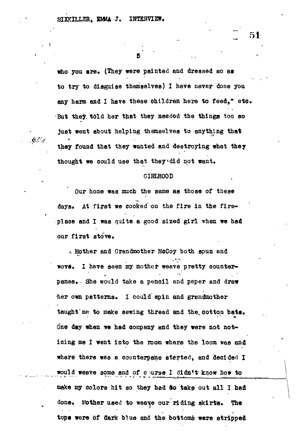. EL'A

who you are. (They were painted and dressed so as **to try to disguise themselves) I have never done you any harm and I have these children here to feed," etc. But they, tdld her that they needed the thinga too so Just went about helping themselves to anything that they found that they wanted and destroying what they** thought we could use that they edid not want.

#### **GIRLHOOD**

**Our home was much the same as those of these > c** days. At first we cooked on the fire in the fireplace and I was quite a good sized girl when we had our first stove.

-. Mother and Grandmother McCoy both spun end wove. I have seen my mother weave pretty counterpanes. She would take a pencil and paper and draw her own patterns. I could spin and grandmother taught me to make sewing thread and the cotton bats. One day when we had company and they were not noticing me I went into the room where the loom was and where there wes a counterpane started, and decided I would weave some and of c urse I didn't know how to make my colors hit so they had to take out all I had done. Mother used to weave our riding skirts. The tops were of dark blue and the bottoms were stripped

**51**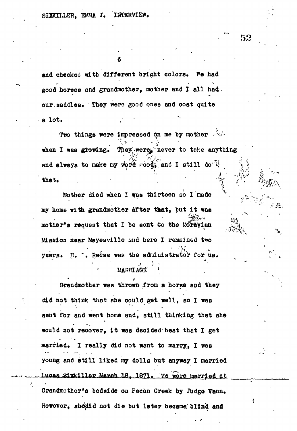and checked with different bright colors. We had **good horses and grandmother, mother and I all had** our.saddles. They were good ones and cost quite **a lot. t' '**

**Two things were impressed on me by mother**  $-4\pi$ **" '•-<sup>v</sup> " "** *I'* when I was growing. They ware never to take anything and always to make my word  $\cos \theta_i$ , and I still do' $\psi$ **that. . -** *• , ' \ ^ V*

**Mother died when I was thirteen so I made**  *y* **my home with grandmother after that, but i t waa** mother's request that I be sent to the Moravian **Mission near Mayesville and here I remained two** years. H. ". Reese was the administrator for us.

# **MARRIAGE**

**Grandmother was thrown .from a horse and they did not think that she could get. well, so I waa** sent for and went home and, still thinking that she **would not recover, It was decided beat that I get married. I really did not want to marry, I was young and stil l liked my dolls but anyway I married Iucas Sixkiller March 18, 1871. We were married at Grandmother's bedside on Pecan Creek by Judgo Venn.**

**However, shojdld not die but later became; blind and**

,->"...J.,». \* .. ,..

*.* **\*"",". . .**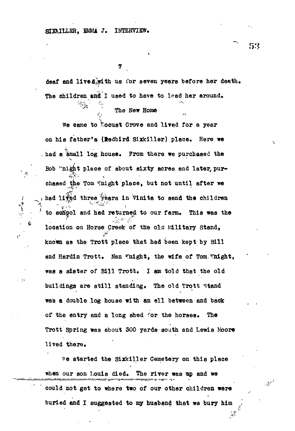$\frac{1}{2}$ 

y.

deaf and lived with us for seven years before her death. The children and I used to have to lead her around.

## The New Home

We came to hocust Grove and lived for a year on his father's (Redbird Sixkiller) place. Here we . had a small log house. From there we purchased the Bob 'night place of about sixty acres and later, purchased the Tom Knight place, but not until after we had lived three years in Vinita to send the children to school and had returned to our farm. This was the location on Horse Creek of the old Military Stand, known as the Trott place that had been kept by Bill and Hardin Trott. Nan Whight, the wife of Tom Whight, was a sister of Bill Trott, I am told that the old buildings are still standing. The old Trott stand was a double log house with an ell between and back of the entry and a long shed for the horses. The Trott Spring was about 300 yards south and Lewis Moore lived there,

> $%$  we started the Sixkiller Cemetery on this place when our son Louis died. The river was up and we

could not get to where two of our other children were buried and I suggested to my husband that we bury him *•* **.V** 53

 $-2\lambda$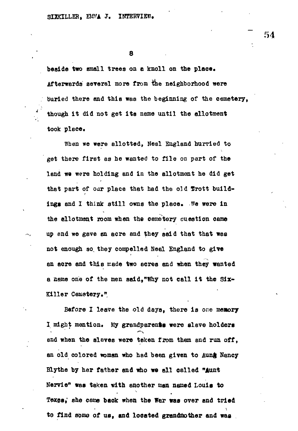**8**

**beside two email trees on c knoll on the place. Afterwards several more from & e neighborhood were burled there and this was the beginning of the cemetery, though It did not get its name until the allotment** took place.

**When we were allotted, Neal England hurried to get there first as he wanted to file on part of the land we were holding and in the allotment he did get** that part of our place that had the old frott buildings and I think still owns the place. We were in the allotment room when the cemetery question came **up and we gave an acre and they said that that was not enough so, they compelled Neal England to give an acre and this made two acres and when they wanted a name one of the men said,"Why not call it the Six\* Killer Cemstery."**

**Before I leave the old days, there is one memory** I might mention. My grandparents were slave holders **and when the slaves were taken from them and run off,** an old colored woman who had been given to Aung Nancy **Blythe by her father and who wo all called "Aunt Kervle" was taken with another man named Louis to Texas,<sup>1</sup> she came back when the Wer was over and tried to find some of us, and located grandmother and was**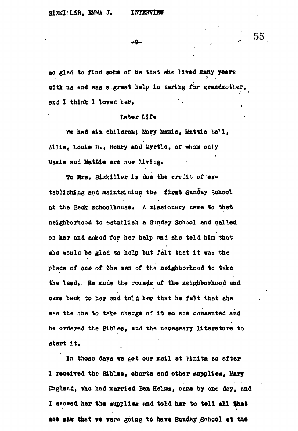-9-

so glad to find some of us that she lived many years **with ua end was a great help In oaring for grandmother,** and I think I loved her.

# **Later Life**

**We had six children; Mary Mamie, Wattle Belli** Allie, Louie B., Henry and Myrtle, of whom only **Mamie and Mattie are now living.** 

**To Mrs. Sixkiller la due the credit of 'establishing and maintaining the flret Sunday School** at the Beck schoolhouse. A missionary came to that **neighborhood to establish a Sunday school ond called on her and aoked for her help and she told him that** ahe would be glad to help but felt that it was the place of one of the men of the neighborhood to take **place of one of the** *mm* **of the neighborhood to take** the lead. He made the rounds of the neighborhood and **the lead\*. He made the rounds of the neighborhood and came back to her and told her that he felt that ahe** was the one to take charge of it so she consented and **we8 the one to take charge of it BO ahe consented end** he ordered the Bibles, and the necessary literature to **he ordered the Bibles, end the necessary literature to** start it.

In those days we got our meil at Vinita so after **I received the Bibles, charts and other supplies, Mary** England, who had married Ben Helms, came by one day, and **Sngland, who had married Ben Heists, case by one day, and** I showed her the supplies and told her to tell all that **X showed her the supplies end told her to tell all that** she saw that we were going to have Sunday School at the

**start it .**

**: 55**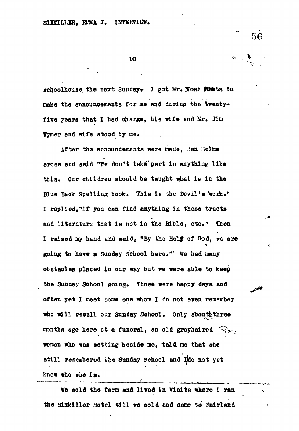**10**

schoolhouse the next Sunday. I got Mr. Noah Funts to make the announcements for me and during the twentyfive years that I had charge, his wife and Mr. Jim **Wymer and wife stood by me.**

**After the announcements were made, Ben Helms** arose and said "We don't take<sup>®</sup> part in anything like this. Our children should be taught what is in the Blue Back Spelling book. This is the Devil's work." **I replied,<sup>n</sup> If you can find anything in these tracts and literature that is not in the Bible, etc." Then I raised my hand and said, "By the Help\* of God, we are going to have a Sunday School here."' We had many obstacles placed in our way but we were able to keep** the Sunday School going. Those were happy days and **often yet I meet some one whom I do not even remember** who will recall our Sunday School. Only about three months ago here at a funeral, an old grayhaired  $\widehat{\llbracket \gamma \rrbracket}_{\mathbf{x},k}$ . **woman who was setting beside me, told me that she still remembered the Sunday School and l|do not yet** know who she is.

**We sold the farm and lived In Vinite where I ran** the Sixkiller Hotel till we sold and came to Fairland **56**

ð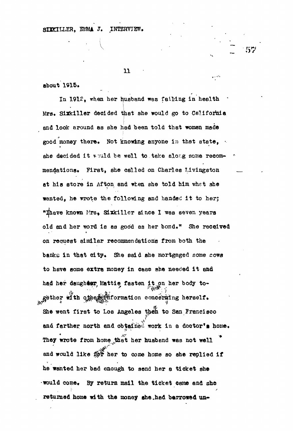# SIXKILLER, EMMA J. INTERVIEW.

# 11

57

about 1915.

In 1912, when her husband was failing in health Mrs. Sixkiller decided that she would go to California and look around as she had been told that woman made good money there. Not knowing anyone in that state, she decided it would be well to take along some recommendations. First, she called on Charles Livingston at his store in Afton, and when she told him what she wanted, he wrote the following and handed it to her; "Thave known Mrs, Sixkiller since I was seven years old and her word is as good aa her bond." She received on request similar recommendations from both the banks in that city. She said ahe mortgaged some cows to have some extra money in case she needed it and had her daughter Mattie fasten it on her body together with other information concerning herself. She went first to Los Angeles then to San Francisco and farther north and obtained work in a doctor's home. They wrote from home that her husband was not well and would like  $\mathcal{B} \times \mathcal{B}$  her to come home so ahe replied if he wanted her bad enough to send her a ticket she •would come. By return mail the ticket oerae and she returned home with the money she had berrowed un